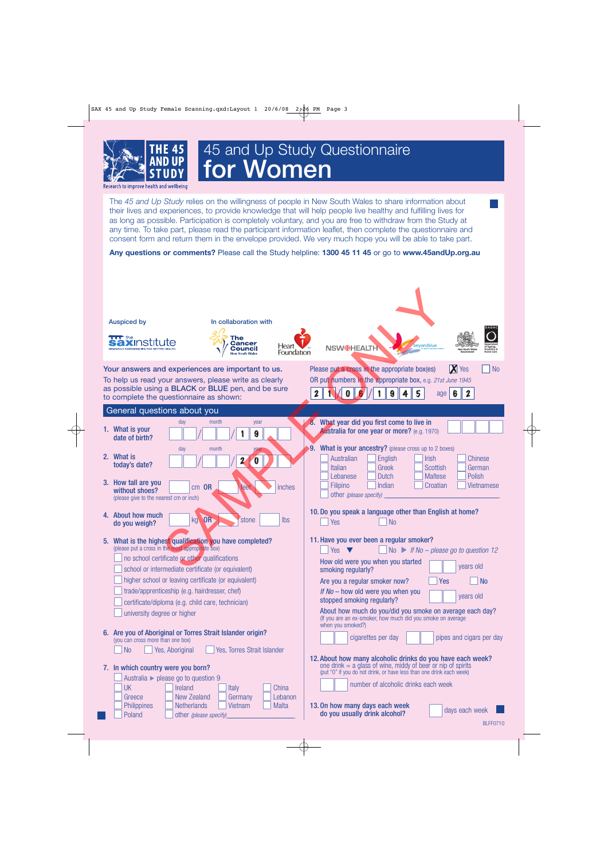

# 45 and Up Study Questionnaire **for Women**

Research to improve health and wellbeind

The *45 and Up Study* relies on the willingness of people in New South Wales to share information about their lives and experiences, to provide knowledge that will help people live healthy and fulfilling lives for as long as possible. Participation is completely voluntary, and you are free to withdraw from the Study at any time. To take part, please read the participant information leaflet, then complete the questionnaire and consent form and return them in the envelope provided. We very much hope you will be able to take part.

**Any questions or comments?** Please call the Study helpline: **1300 45 11 45** or go to **www.45andUp.org.au**

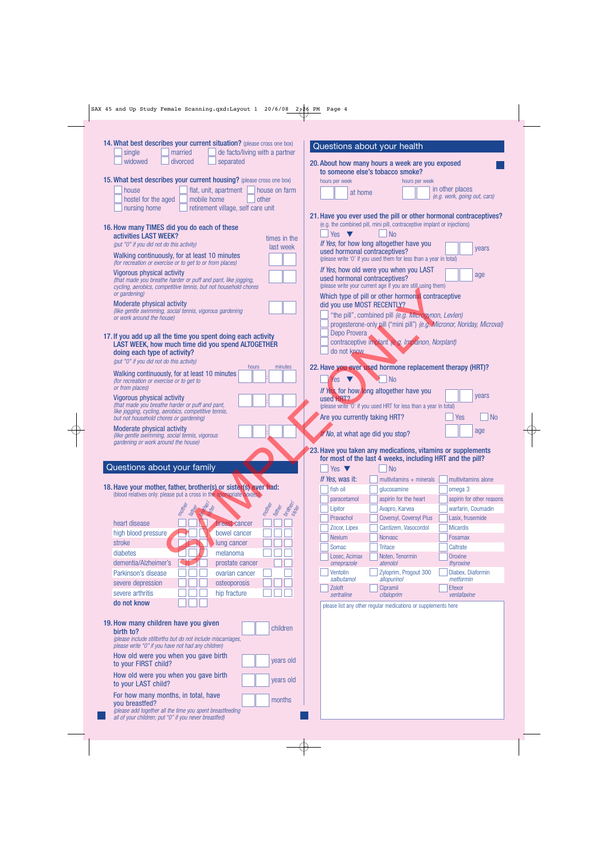|  |  |  |  |  |  | SAX 45 and Up Study Female Scanning.qxd:Layout 1 20/6/08 2;26 PM Page 4 |  |  |  |  |
|--|--|--|--|--|--|-------------------------------------------------------------------------|--|--|--|--|
|--|--|--|--|--|--|-------------------------------------------------------------------------|--|--|--|--|

 $\begin{picture}(120,10) \put(0,0){\vector(1,0){10}} \put(15,0){\vector(1,0){10}} \put(15,0){\vector(1,0){10}} \put(15,0){\vector(1,0){10}} \put(15,0){\vector(1,0){10}} \put(15,0){\vector(1,0){10}} \put(15,0){\vector(1,0){10}} \put(15,0){\vector(1,0){10}} \put(15,0){\vector(1,0){10}} \put(15,0){\vector(1,0){10}} \put(15,0){\vector(1,0){10}} \put(15,0){\vector($ 

| 14. What best describes your current situation? (please cross one box)                                                                                                                         | Questions about your health                                                                                                                   |
|------------------------------------------------------------------------------------------------------------------------------------------------------------------------------------------------|-----------------------------------------------------------------------------------------------------------------------------------------------|
| married<br>de facto/living with a partner<br>single<br>widowed<br>divorced<br>separated                                                                                                        | 20. About how many hours a week are you exposed<br>to someone else's tobacco smoke?                                                           |
| 15. What best describes your current housing? (please cross one box)                                                                                                                           | hours per week<br>hours per week                                                                                                              |
| flat, unit, apartment<br>house on farm<br>house<br>mobile home<br>hostel for the aged<br>other                                                                                                 | in other places<br>at home<br>(e.g. work, going out, cars)                                                                                    |
| nursing home<br>retirement village, self care unit                                                                                                                                             | 21. Have you ever used the pill or other hormonal contraceptives?                                                                             |
| 16. How many TIMES did you do each of these<br>activities LAST WEEK?<br>times in the                                                                                                           | (e.g. the combined pill, mini pill, contraceptive implant or injections)<br><b>No</b><br>Yes $\blacktriangledown$                             |
| (put "0" if you did not do this activity)<br>last week                                                                                                                                         | If Yes, for how long altogether have you<br>years                                                                                             |
| Walking continuously, for at least 10 minutes<br>(for recreation or exercise or to get to or from places)                                                                                      | used hormonal contraceptives?<br>(please write 'O' if you used them for less than a year in total)                                            |
| <b>Vigorous physical activity</b><br>(that made you breathe harder or puff and pant, like jogging,<br>cycling, aerobics, competitive tennis, but not household chores<br>or gardening)         | If Yes, how old were you when you LAST<br>age<br>used hormonal contraceptives?<br>(please write your current age if you are still using them) |
| Moderate physical activity<br>(like gentle swimming, social tennis, vigorous gardening                                                                                                         | Which type of pill or other hormonal contraceptive<br>did you use MOST RECENTLY?<br>"the pill", combined pill (e.g. Microgynon, Levlen)       |
| or work around the house)                                                                                                                                                                      | progesterone-only pill ("mini pill") (e.g. Micronor, Noriday, Microval)<br>Depo Provera                                                       |
| 17. If you add up all the time you spent doing each activity<br>LAST WEEK, how much time did you spend ALTOGETHER<br>doing each type of activity?<br>(put "0" if you did not do this activity) | contraceptive implant (e.g. Implanon, Norplant)<br>do not know                                                                                |
| hours<br>minutes<br>Walking continuously, for at least 10 minutes<br>(for recreation or exercise or to get to                                                                                  | 22. Have you ever used hormone replacement therapy (HRT)?<br><b>No</b><br>Yes                                                                 |
| or from places)                                                                                                                                                                                | If Yes, for how long altogether have you<br>years                                                                                             |
| <b>Vigorous physical activity</b><br>(that made you breathe harder or puff and pant,<br>like jogging, cycling, aerobics, competitive tennis,<br>but not household chores or gardening)         | used HRT?<br>(please write '0' if you used HRT for less than a year in total)<br>Are you currently taking HRT?<br><b>No</b><br>Yes            |
| Moderate physical activity<br>(like gentle swimming, social tennis, vigorous<br>gardening or work around the house)                                                                            | age<br>If No, at what age did you stop?                                                                                                       |
|                                                                                                                                                                                                | 23. Have you taken any medications, vitamins or supplements                                                                                   |
| Questions about your family                                                                                                                                                                    | for most of the last 4 weeks, including HRT and the pill?                                                                                     |
|                                                                                                                                                                                                | <b>No</b><br>Yes $\blacktriangledown$                                                                                                         |
| 18. Have your mother, father, brother(s) or sister(s) ever had:                                                                                                                                | If Yes, was it:<br>multivitamins alone<br>multivitamins $+$ minerals<br>fish oil<br>omega 3<br>glucosamine                                    |
| (blood relatives only: please put a cross in the appropriate box(es))                                                                                                                          | aspirin for other reasons<br>paracetamol<br>aspirin for the heart                                                                             |
| brother<br>mother<br>mother<br><b>Father</b><br><b>Father</b>                                                                                                                                  | Avapro, Karvea<br>warfarin, Coumadin<br>Lipitor                                                                                               |
|                                                                                                                                                                                                | Pravachol<br>Coversyl, Coversyl Plus<br>Lasix, frusemide                                                                                      |
| heart disease<br>breast cancer                                                                                                                                                                 | Zocor, Lipex<br>Cardizem, Vasocordol<br><b>Micardis</b>                                                                                       |
| high blood pressure<br>bowel cancer                                                                                                                                                            | <b>Nexium</b><br><b>Norvasc</b><br>Fosamax                                                                                                    |
| stroke<br>lung cancer                                                                                                                                                                          | <b>Tritace</b><br>Caltrate<br>Somac                                                                                                           |
| melanoma<br>diabetes<br>dementia/Alzheimer's<br>prostate cancer                                                                                                                                | Losec, Acimax<br>Noten, Tenormin<br>Oroxine<br>atenolol                                                                                       |
| Parkinson's disease<br>ovarian cancer                                                                                                                                                          | omeprazole<br>thyroxine<br>Ventolin<br>Zyloprim, Progout 300<br>Diabex, Diaformin<br>salbutamol<br>allopurinol<br>metformin                   |
| severe depression<br>osteoporosis<br>severe arthritis<br>hip fracture                                                                                                                          | Zoloft<br>Cipramil<br>Efexor<br>venlafaxine<br>sertraline<br>citaloprim                                                                       |
| do not know                                                                                                                                                                                    | please list any other regular medications or supplements here                                                                                 |
| 19. How many children have you given<br>children<br>birth to?<br>(please include stillbirths but do not include miscarriages,                                                                  |                                                                                                                                               |
| please write "0" if you have not had any children)<br>How old were you when you gave birth                                                                                                     |                                                                                                                                               |
| years old<br>to your FIRST child?                                                                                                                                                              |                                                                                                                                               |
| How old were you when you gave birth<br>years old<br>to your LAST child?                                                                                                                       |                                                                                                                                               |
| For how many months, in total, have<br>months<br>you breastfed?<br>please add together all the time you spent breastfeeding<br>all of your children; put "O" if you never breastfed)           |                                                                                                                                               |

 $\overline{\varphi}$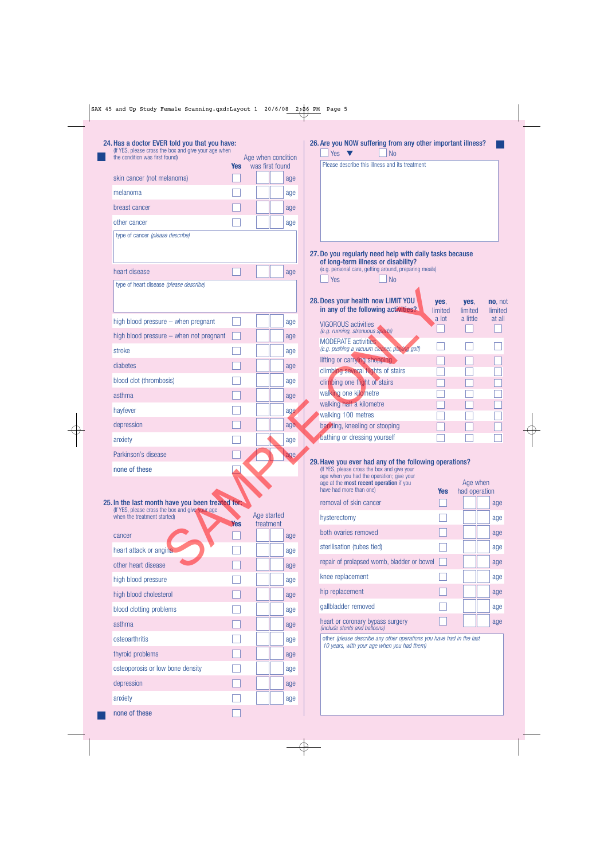| 24. Has a doctor EVER told you that you have:<br>(If YES, please cross the box and give your age when |                                              |            | Age when condition |           |     | 26. Are you NOW suffering from any other important illness?<br><b>No</b><br>Yes                                    |                 |                           |                    |
|-------------------------------------------------------------------------------------------------------|----------------------------------------------|------------|--------------------|-----------|-----|--------------------------------------------------------------------------------------------------------------------|-----------------|---------------------------|--------------------|
|                                                                                                       | the condition was first found)<br><b>Yes</b> |            |                    |           |     | Please describe this illness and its treatment                                                                     |                 |                           |                    |
| skin cancer (not melanoma)                                                                            |                                              |            | was first found    |           | age |                                                                                                                    |                 |                           |                    |
| melanoma                                                                                              |                                              |            |                    |           | age |                                                                                                                    |                 |                           |                    |
| breast cancer                                                                                         |                                              |            |                    |           | age |                                                                                                                    |                 |                           |                    |
| other cancer                                                                                          |                                              |            |                    |           | age |                                                                                                                    |                 |                           |                    |
| type of cancer (please describe)                                                                      |                                              |            |                    |           |     |                                                                                                                    |                 |                           |                    |
|                                                                                                       |                                              |            |                    |           |     | 27. Do you regularly need help with daily tasks because<br>of long-term illness or disability?                     |                 |                           |                    |
| heart disease                                                                                         |                                              |            |                    |           | age | (e.g. personal care, getting around, preparing meals)                                                              |                 |                           |                    |
| type of heart disease (please describe)                                                               |                                              |            |                    |           |     | N <sub>0</sub><br>Yes                                                                                              |                 |                           |                    |
|                                                                                                       |                                              |            |                    |           |     | 28. Does your health now LIMIT YOU<br>in any of the following activities?                                          | yes,<br>limited | yes,<br>limited           | no, not<br>limited |
| high blood pressure $-$ when pregnant                                                                 |                                              |            |                    |           | age | <b>VIGOROUS activities</b>                                                                                         | a lot           | a little                  | at all             |
| high blood pressure - when not pregnant                                                               |                                              |            |                    |           | age | (e.g. running, strenuous sports)                                                                                   |                 |                           |                    |
| stroke                                                                                                |                                              |            |                    |           | age | <b>MODERATE</b> activities<br>(e.g. pushing a vacuum cleaner, playing golf)                                        |                 |                           |                    |
| diabetes                                                                                              |                                              |            |                    |           | age | lifting or carrying shopping                                                                                       |                 |                           |                    |
| blood clot (thrombosis)                                                                               |                                              |            |                    |           | age | climbing several flights of stairs<br>climbing one flight of stairs                                                |                 |                           |                    |
| asthma                                                                                                |                                              |            |                    |           |     | walking one kilometre                                                                                              |                 |                           |                    |
|                                                                                                       |                                              |            |                    |           | age | walking half a kilometre                                                                                           |                 |                           |                    |
| hayfever                                                                                              |                                              |            |                    |           | age | walking 100 metres                                                                                                 |                 |                           |                    |
| depression                                                                                            |                                              |            |                    |           | age | bending, kneeling or stooping<br>bathing or dressing yourself                                                      |                 |                           |                    |
| anxiety                                                                                               |                                              |            |                    |           | age |                                                                                                                    |                 |                           |                    |
| Parkinson's disease                                                                                   |                                              |            |                    |           | age | 29. Have you ever had any of the following operations?                                                             |                 |                           |                    |
| none of these                                                                                         |                                              |            |                    |           |     | (If YES, please cross the box and give your<br>age when you had the operation; give your                           |                 |                           |                    |
|                                                                                                       |                                              |            |                    |           |     | age at the <b>most recent operation</b> if you<br>have had more than one)                                          | <b>Yes</b>      | Age when<br>had operation |                    |
| 25. In the last month have you been treated for:                                                      |                                              |            |                    |           |     | removal of skin cancer                                                                                             |                 |                           | age                |
| (If YES, please cross the box and give your age<br>when the treatment started)                        |                                              |            | Age started        |           |     | hysterectomy                                                                                                       |                 |                           | age                |
|                                                                                                       |                                              | <b>Yes</b> |                    | treatment |     | both ovaries removed                                                                                               |                 |                           | age                |
| cancer                                                                                                |                                              |            |                    |           | age | sterilisation (tubes tied)                                                                                         |                 |                           | age                |
| heart attack or angina                                                                                |                                              |            |                    |           | age | repair of prolapsed womb, bladder or bowel                                                                         |                 |                           | age                |
| other heart disease                                                                                   |                                              |            |                    |           | age | knee replacement                                                                                                   |                 |                           |                    |
| high blood pressure                                                                                   |                                              |            |                    |           | age |                                                                                                                    |                 |                           | age                |
| high blood cholesterol                                                                                |                                              |            |                    |           | age | hip replacement                                                                                                    |                 |                           | age                |
| blood clotting problems                                                                               |                                              |            |                    |           | age | gallbladder removed                                                                                                |                 |                           | age                |
| asthma                                                                                                |                                              |            |                    |           | age | heart or coronary bypass surgery<br>(include stents and balloons)                                                  |                 |                           | age                |
| osteoarthritis                                                                                        |                                              |            |                    |           | age | other (please describe any other operations you have had in the last<br>10 years, with your age when you had them) |                 |                           |                    |
| thyroid problems                                                                                      |                                              |            |                    |           | age |                                                                                                                    |                 |                           |                    |
| osteoporosis or low bone density                                                                      |                                              |            |                    |           |     |                                                                                                                    |                 |                           |                    |
|                                                                                                       |                                              |            |                    |           | age |                                                                                                                    |                 |                           |                    |
| depression                                                                                            |                                              |            |                    |           | age |                                                                                                                    |                 |                           |                    |
| anxiety                                                                                               |                                              |            |                    |           | age |                                                                                                                    |                 |                           |                    |

 $\bigoplus$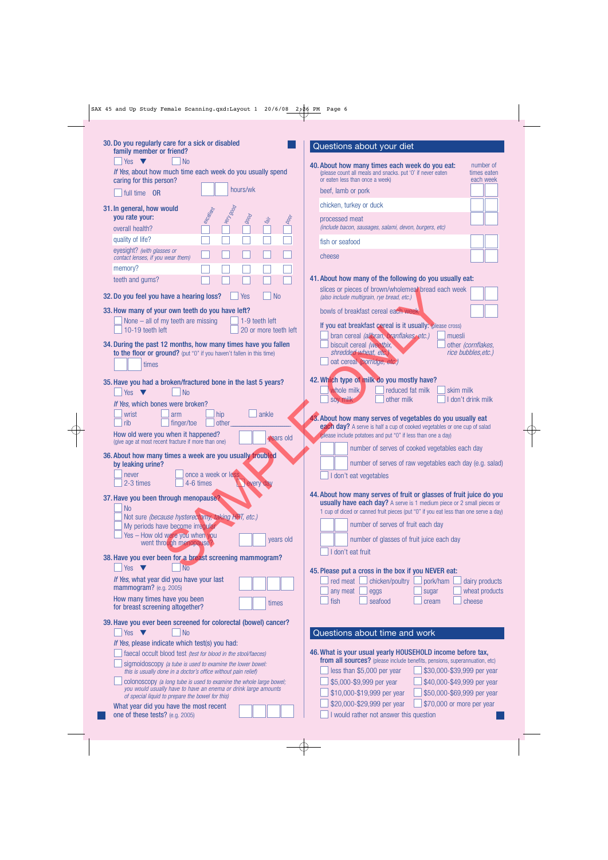| 30. Do you regularly care for a sick or disabled<br>family member or friend?                                                                                                             | Questions about your diet                                                                                                                                                                |
|------------------------------------------------------------------------------------------------------------------------------------------------------------------------------------------|------------------------------------------------------------------------------------------------------------------------------------------------------------------------------------------|
| Yes $\blacktriangledown$<br><b>No</b><br>If Yes, about how much time each week do you usually spend<br>caring for this person?                                                           | 40. About how many times each week do you eat:<br>number of<br>(please count all meals and snacks. put '0' if never eaten<br>times eaten<br>or eaten less than once a week)<br>each week |
| hours/wk<br>full time OR                                                                                                                                                                 | beef, lamb or pork                                                                                                                                                                       |
| 31. In general, how would                                                                                                                                                                | chicken, turkey or duck                                                                                                                                                                  |
| <b>Pool</b> May<br>etcallent<br>$ g_{00}$<br>you rate your:<br>1200<br><b>Lat</b><br>overall health?                                                                                     | processed meat<br>(include bacon, sausages, salami, devon, burgers, etc)                                                                                                                 |
| quality of life?                                                                                                                                                                         | fish or seafood                                                                                                                                                                          |
| eyesight? (with glasses or<br>contact lenses, if you wear them)                                                                                                                          | cheese                                                                                                                                                                                   |
| memory?<br>teeth and gums?                                                                                                                                                               | 41. About how many of the following do you usually eat:                                                                                                                                  |
| <b>No</b><br>32. Do you feel you have a hearing loss?<br>Yes                                                                                                                             | slices or pieces of brown/wholemeal bread each week<br>(also include multigrain, rye bread, etc.)                                                                                        |
| 33. How many of your own teeth do you have left?                                                                                                                                         | bowls of breakfast cereal each week                                                                                                                                                      |
| None $-$ all of my teeth are missing<br>1-9 teeth left<br>10-19 teeth left<br>20 or more teeth left                                                                                      | If you eat breakfast cereal is it usually: (please cross)<br>bran cereal (allbran, branflakes, etc.)<br>muesli                                                                           |
| 34. During the past 12 months, how many times have you fallen<br>to the floor or ground? (put "0" if you haven't fallen in this time)<br>times                                           | biscuit cereal (weetbix,<br>other (cornflakes,<br>shredded wheat, etc.)<br>rice bubbles, etc.)<br>oat cereal (porridge, etc.)                                                            |
| 35. Have you had a broken/fractured bone in the last 5 years?<br><b>No</b><br>Yes<br>$\blacksquare$                                                                                      | 42. Which type of milk do you mostly have?<br>whole milk<br>reduced fat milk<br>skim milk                                                                                                |
| If Yes, which bones were broken?                                                                                                                                                         | I don't drink milk<br>soy milk<br>other milk                                                                                                                                             |
| hip<br>wrist<br>ankle<br>arm<br>rib<br>other<br>finger/toe                                                                                                                               | 43. About how many serves of vegetables do you usually eat<br>each day? A serve is half a cup of cooked vegetables or one cup of salad                                                   |
| How old were you when it happened?<br>years old<br>(give age at most recent fracture if more than one)                                                                                   | (please include potatoes and put "0" if less than one a day)<br>number of serves of cooked vegetables each day                                                                           |
| 36. About how many times a week are you usually troubled                                                                                                                                 |                                                                                                                                                                                          |
| by leaking urine?<br>once a week or less<br>never<br>2-3 times<br>4-6 times<br>every day                                                                                                 | number of serves of raw vegetables each day (e.g. salad)<br>I don't eat vegetables                                                                                                       |
|                                                                                                                                                                                          | 44. About how many serves of fruit or glasses of fruit juice do you                                                                                                                      |
| 37. Have you been through menopause?<br>N <sub>0</sub><br>Not sure (because hysterectomy, taking HRT, etc.)                                                                              | <b>usually have each day?</b> A serve is 1 medium piece or 2 small pieces or<br>1 cup of diced or canned fruit pieces (put "0" if you eat less than one serve a day)                     |
| My periods have become irregular                                                                                                                                                         | number of serves of fruit each day                                                                                                                                                       |
| Yes - How old were you when you<br>years old<br>went through menopause?                                                                                                                  | number of glasses of fruit juice each day                                                                                                                                                |
| 38. Have you ever been for a breast screening mammogram?                                                                                                                                 | don't eat fruit                                                                                                                                                                          |
| N <sub>o</sub><br>Yes<br><b>V</b>                                                                                                                                                        | 45. Please put a cross in the box if you NEVER eat:                                                                                                                                      |
| If Yes, what year did you have your last<br>mammogram? (e.g. 2005)                                                                                                                       | red meat<br>chicken/poultry<br>pork/ham<br>dairy products<br>wheat products<br>any meat<br>eggs<br>sugar                                                                                 |
| How many times have you been<br>times<br>for breast screening altogether?                                                                                                                | fish<br>seafood<br>cheese<br>cream                                                                                                                                                       |
| 39. Have you ever been screened for colorectal (bowel) cancer?                                                                                                                           |                                                                                                                                                                                          |
| <b>No</b><br>Yes $\blacktriangledown$<br>If Yes, please indicate which test(s) you had:                                                                                                  | Questions about time and work                                                                                                                                                            |
| faecal occult blood test (test for blood in the stool/faeces)                                                                                                                            | 46. What is your usual yearly HOUSEHOLD income before tax,                                                                                                                               |
| sigmoidoscopy (a tube is used to examine the lower bowel:<br>this is usually done in a doctor's office without pain relief)                                                              | from all sources? (please include benefits, pensions, superannuation, etc)<br>\$30,000-\$39,999 per year<br>less than \$5,000 per year                                                   |
| colonoscopy (a long tube is used to examine the whole large bowel;<br>you would usually have to have an enema or drink large amounts<br>of special liquid to prepare the bowel for this) | \$5,000-\$9,999 per year<br>\$40,000-\$49,999 per year<br>\$10,000-\$19,999 per year<br>\$50,000-\$69,999 per year                                                                       |
| What year did you have the most recent<br>one of these tests? (e.g. 2005)                                                                                                                | \$20,000-\$29,999 per year<br>\$70,000 or more per year<br>would rather not answer this question                                                                                         |

 $\overline{\varphi}$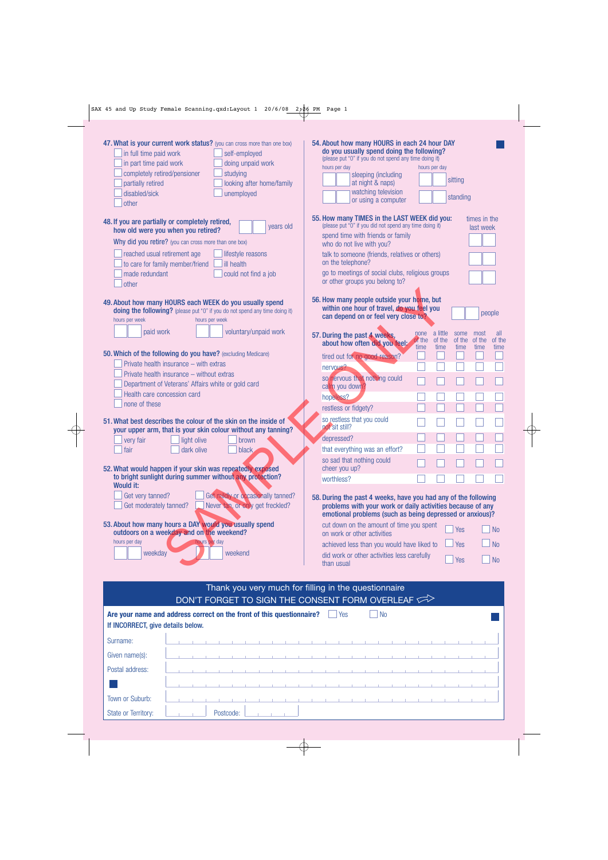$\Rightarrow$ 

| 47. What is your current work status? (you can cross more than one box)<br>$\Box$ in full time paid work<br>self-employed<br>in part time paid work<br>doing unpaid work<br>completely retired/pensioner<br>studying<br>looking after home/family<br>partially retired<br>disabled/sick<br>unemployed<br>other | 54. About how many HOURS in each 24 hour DAY<br>do you usually spend doing the following?<br>(please put "0" if you do not spend any time doing it)<br>hours per day<br>hours per day<br>sleeping (including<br>sitting<br>at night & naps)<br>watching television<br>standing<br>or using a computer |
|----------------------------------------------------------------------------------------------------------------------------------------------------------------------------------------------------------------------------------------------------------------------------------------------------------------|-------------------------------------------------------------------------------------------------------------------------------------------------------------------------------------------------------------------------------------------------------------------------------------------------------|
| 48. If you are partially or completely retired,<br>years old                                                                                                                                                                                                                                                   | 55. How many TIMES in the LAST WEEK did you:<br>times in the<br>(please put "0" if you did not spend any time doing it)<br>last week                                                                                                                                                                  |
| how old were you when you retired?<br>Why did you retire? (you can cross more than one box)                                                                                                                                                                                                                    | spend time with friends or family                                                                                                                                                                                                                                                                     |
| reached usual retirement age<br>lifestyle reasons                                                                                                                                                                                                                                                              | who do not live with you?<br>talk to someone (friends, relatives or others)                                                                                                                                                                                                                           |
| to care for family member/friend<br><b>ill</b> health                                                                                                                                                                                                                                                          | on the telephone?                                                                                                                                                                                                                                                                                     |
| made redundant<br>could not find a job<br>other                                                                                                                                                                                                                                                                | go to meetings of social clubs, religious groups<br>or other groups you belong to?                                                                                                                                                                                                                    |
| 49. About how many HOURS each WEEK do you usually spend<br>doing the following? (please put "0" if you do not spend any time doing it)<br>hours per week<br>hours per week                                                                                                                                     | 56. How many people outside your home, but<br>within one hour of travel, do you feel you<br>people<br>can depend on or feel very close to?                                                                                                                                                            |
| voluntary/unpaid work<br>paid work                                                                                                                                                                                                                                                                             | a little<br>some<br>most<br>all<br>none<br>57. During the past 4 weeks,<br>of the<br>of the<br>of the<br>of the<br>of the<br>about how often did you feel;                                                                                                                                            |
| 50. Which of the following do you have? (excluding Medicare)                                                                                                                                                                                                                                                   | time<br>time<br>time<br>time<br>time<br>tired out for no good reason?                                                                                                                                                                                                                                 |
| Private health insurance - with extras                                                                                                                                                                                                                                                                         | nervous?                                                                                                                                                                                                                                                                                              |
| Private health insurance - without extras<br>Department of Veterans' Affairs white or gold card                                                                                                                                                                                                                | so nervous that nothing could                                                                                                                                                                                                                                                                         |
| Health care concession card                                                                                                                                                                                                                                                                                    | calm you down?<br>hopeless?                                                                                                                                                                                                                                                                           |
| none of these                                                                                                                                                                                                                                                                                                  | restless or fidgety?                                                                                                                                                                                                                                                                                  |
| 51. What best describes the colour of the skin on the inside of<br>your upper arm, that is your skin colour without any tanning?                                                                                                                                                                               | so restless that you could<br>not sit still?                                                                                                                                                                                                                                                          |
| light olive<br>very fair<br>brown                                                                                                                                                                                                                                                                              | depressed?                                                                                                                                                                                                                                                                                            |
| fair<br>dark olive<br><b>black</b>                                                                                                                                                                                                                                                                             | that everything was an effort?                                                                                                                                                                                                                                                                        |
| 52. What would happen if your skin was repeatedly exposed                                                                                                                                                                                                                                                      | so sad that nothing could<br>cheer you up?                                                                                                                                                                                                                                                            |
| to bright sunlight during summer without any protection?                                                                                                                                                                                                                                                       | worthless?                                                                                                                                                                                                                                                                                            |
| <b>Would it:</b><br>Get very tanned?<br>Get mildly or occasionally tanned?<br>Get moderately tanned?<br>Never tan, or only get freckled?                                                                                                                                                                       | 58. During the past 4 weeks, have you had any of the following<br>problems with your work or daily activities because of any<br>emotional problems (such as being depressed or anxious)?                                                                                                              |
| 53. About how many hours a DAY would you usually spend<br>outdoors on a weekday and on the weekend?                                                                                                                                                                                                            | cut down on the amount of time you spent<br>Yes<br><b>No</b><br>on work or other activities                                                                                                                                                                                                           |
| hours per day<br>hours per day                                                                                                                                                                                                                                                                                 | <b>No</b><br>achieved less than you would have liked to<br>Yes                                                                                                                                                                                                                                        |
| weekday<br>weekend                                                                                                                                                                                                                                                                                             | did work or other activities less carefully<br>N <sub>o</sub><br>Yes<br>than usual                                                                                                                                                                                                                    |

| Thank you very much for filling in the questionnaire<br>DON'T FORGET TO SIGN THE CONSENT FORM OVERLEAF     |  |  |  |  |  |           |  |  |  |  |                                        |     |  |                                               |  |  |  |  |  |
|------------------------------------------------------------------------------------------------------------|--|--|--|--|--|-----------|--|--|--|--|----------------------------------------|-----|--|-----------------------------------------------|--|--|--|--|--|
| Are your name and address correct on the front of this questionnaire?<br>If INCORRECT, give details below. |  |  |  |  |  |           |  |  |  |  |                                        | Yes |  | <b>No</b>                                     |  |  |  |  |  |
| Surname:                                                                                                   |  |  |  |  |  |           |  |  |  |  |                                        |     |  |                                               |  |  |  |  |  |
| Given name(s):                                                                                             |  |  |  |  |  |           |  |  |  |  | and the company's company's            |     |  |                                               |  |  |  |  |  |
| Postal address:                                                                                            |  |  |  |  |  |           |  |  |  |  |                                        |     |  | and the company of the company of the company |  |  |  |  |  |
|                                                                                                            |  |  |  |  |  |           |  |  |  |  | the control of the control of the con- |     |  |                                               |  |  |  |  |  |
| Town or Suburb:                                                                                            |  |  |  |  |  |           |  |  |  |  |                                        |     |  |                                               |  |  |  |  |  |
| <b>State or Territory:</b>                                                                                 |  |  |  |  |  | Postcode: |  |  |  |  |                                        |     |  |                                               |  |  |  |  |  |

 $\overline{\varphi}$